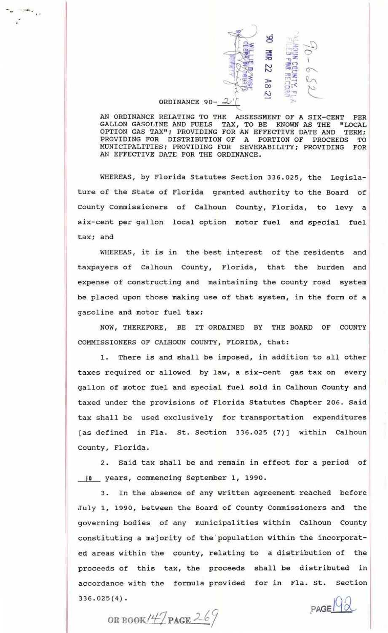

AN ORDINANCE RELATING TO THE ASSESSMENT OF A SIX-CENT PER GALLON GASOLINE AND FUELS TAX, TO BE KNOWN AS THE "LOCAL OPTION GAS TAX"; PROVIDING FOR AN EFFECTIVE DATE AND TERM; OPTION GAS TAX"; PROVIDING FOR AN EFFECTIVE DATE AND PROVIDING FOR DISTRIBUTION OF A PORTION OF PROCEEDS TO MUNICIPALITIES; PROVIDING FOR SEVERABILITY; PROVIDING FOR AN EFFECTIVE DATE FOR THE ORDINANCE .

WHEREAS, by Florida Statutes Section 336.025, the Legislature of the State of Florida granted authority to the Board of County Commissioners of Calhoun County, Florida, to levy a six-cent per gallon local option motor fuel and special fuel tax; and

WHEREAS, it is in the best interest of the residents and taxpayers of Calhoun County, Florida, that the burden and expense of constructing and maintaining the county road system be placed upon those making use of that system, in the form of a gasoline and motor fuel tax;

NOW, THEREFORE, BE IT ORDAINED BY THE BOARD OF COUNTY COMMISSIONERS OF CALHOUN COUNTY, FLORIDA, that:

1. There is and shall be imposed, in addition to all other taxes required or allowed by law, a six-cent gas tax on every gallon of motor fuel and special fuel sold in Calhoun County and taxed under the provisions of Florida Statutes Chapter 206. Said tax shall be used exclusively for transportation expenditures (as defined in Fla. St. Section 336.025 (7)] within Calhoun County, Florida.

2. Said tax shall be and remain in effect for a period of 10 years, commencing September 1, 1990.

3. In the absence of any written agreement reached before July 1, 1990, between the Board of County Commissioners and the governing bodies of any municipalities within Calhoun County constituting a majority of the population within the incorporated areas within the county, relating to a distribution of the proceeds of this tax, the proceeds shall be distributed in accordance with the formula provided for in Fla. St. Section 336.025(4).

OR BOOK!  $47$  **PAGE**  $269$  **PAGE**  $\frac{92}{8}$